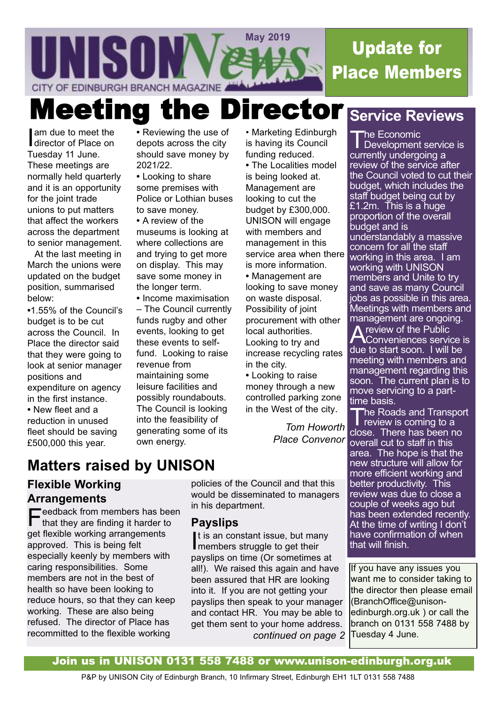

# Update for Place Members

**Meeting the Director Service Reviews** 

am due to meet the<br>director of Place on am due to meet the Tuesday 11 June. These meetings are normally held quarterly and it is an opportunity for the joint trade unions to put matters that affect the workers across the department to senior management.

At the last meeting in March the unions were updated on the budget position, summarised below:

**•**1.55% of the Council's budget is to be cut across the Council. In Place the director said that they were going to look at senior manager positions and expenditure on agency in the first instance. **•** New fleet and a

reduction in unused fleet should be saving £500,000 this year.

**•** Reviewing the use of depots across the city should save money by 2021/22.

**•** Looking to share some premises with Police or Lothian buses to save money.

**•** A review of the museums is looking at where collections are and trying to get more on display. This may save some money in the longer term.

**•** Income maximisation – The Council currently funds rugby and other events, looking to get these events to selffund. Looking to raise revenue from maintaining some leisure facilities and possibly roundabouts. The Council is looking into the feasibility of generating some of its own energy.

• Marketing Edinburgh is having its Council funding reduced.

**•** The Localities model is being looked at. Management are looking to cut the budget by £300,000. UNISON will engage with members and management in this service area when there is more information. **•** Management are looking to save money on waste disposal. Possibility of joint procurement with other local authorities. Looking to try and increase recycling rates in the city.

**•** Looking to raise money through a new controlled parking zone in the West of the city.

> *Tom Howorth Place Convenor*

The Economic<br>Development service is currently undergoing a review of the service after the Council voted to cut their budget, which includes the staff budget being cut by £1.2m. This is a huge proportion of the overall budget and is understandably a massive concern for all the staff working in this area. I am working with UNISON members and Unite to try and save as many Council jobs as possible in this area. Meetings with members and management are ongoing.

review of the Public Conveniences service is due to start soon. I will be meeting with members and management regarding this soon. The current plan is to move servicing to a parttime basis.

The Roads and Transport review is coming to a

close. There has been no overall cut to staff in this area. The hope is that the new structure will allow for more efficient working and better productivity. This review was due to close a couple of weeks ago but has been extended recently. At the time of writing I don't have confirmation of when that will finish.

If you have any issues you want me to consider taking to the director then please email (BranchOffice@unisonedinburgh.org.uk ) or call the branch on 0131 558 7488 by Tuesday 4 June.

# **Matters raised by UNISON**

## **Flexible Working Arrangements**

 $\Box$  eedback from members has been that they are finding it harder to get flexible working arrangements approved. This is being felt especially keenly by members with caring responsibilities. Some members are not in the best of health so have been looking to reduce hours, so that they can keep working. These are also being refused. The director of Place has recommitted to the flexible working

policies of the Council and that this would be disseminated to managers in his department.

### **Payslips**

It is an constant issue, but may<br>members struggle to get their t is an constant issue, but many payslips on time (Or sometimes at all!). We raised this again and have been assured that HR are looking into it. If you are not getting your payslips then speak to your manager and contact HR. You may be able to get them sent to your home address. *continued on page 2*

Join us in UNISON 0131 558 7488 or www.unison-edinburgh.org.uk